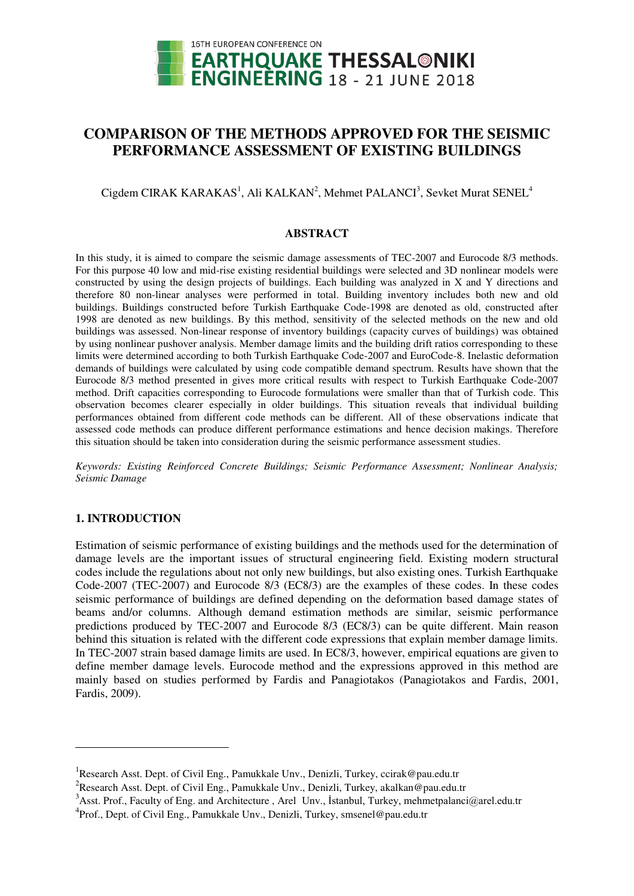

# **COMPARISON OF THE METHODS APPROVED FOR THE SEISMIC PERFORMANCE ASSESSMENT OF EXISTING BUILDINGS**

 $Cigdem CIRAK KARAKAS<sup>1</sup>, Ali KALKAN<sup>2</sup>, Mehmet PALANCI<sup>3</sup>, Sevket Murat SENEL<sup>4</sup>$ 

#### **ABSTRACT**

In this study, it is aimed to compare the seismic damage assessments of TEC-2007 and Eurocode 8/3 methods. For this purpose 40 low and mid-rise existing residential buildings were selected and 3D nonlinear models were constructed by using the design projects of buildings. Each building was analyzed in X and Y directions and therefore 80 non-linear analyses were performed in total. Building inventory includes both new and old buildings. Buildings constructed before Turkish Earthquake Code-1998 are denoted as old, constructed after 1998 are denoted as new buildings. By this method, sensitivity of the selected methods on the new and old buildings was assessed. Non-linear response of inventory buildings (capacity curves of buildings) was obtained by using nonlinear pushover analysis. Member damage limits and the building drift ratios corresponding to these limits were determined according to both Turkish Earthquake Code-2007 and EuroCode-8. Inelastic deformation demands of buildings were calculated by using code compatible demand spectrum. Results have shown that the Eurocode 8/3 method presented in gives more critical results with respect to Turkish Earthquake Code-2007 method. Drift capacities corresponding to Eurocode formulations were smaller than that of Turkish code. This observation becomes clearer especially in older buildings. This situation reveals that individual building performances obtained from different code methods can be different. All of these observations indicate that assessed code methods can produce different performance estimations and hence decision makings. Therefore this situation should be taken into consideration during the seismic performance assessment studies.

*Keywords: Existing Reinforced Concrete Buildings; Seismic Performance Assessment; Nonlinear Analysis; Seismic Damage* 

## **1. INTRODUCTION**

 $\ddot{\phantom{a}}$ 

Estimation of seismic performance of existing buildings and the methods used for the determination of damage levels are the important issues of structural engineering field. Existing modern structural codes include the regulations about not only new buildings, but also existing ones. Turkish Earthquake Code-2007 (TEC-2007) and Eurocode 8/3 (EC8/3) are the examples of these codes. In these codes seismic performance of buildings are defined depending on the deformation based damage states of beams and/or columns. Although demand estimation methods are similar, seismic performance predictions produced by TEC-2007 and Eurocode 8/3 (EC8/3) can be quite different. Main reason behind this situation is related with the different code expressions that explain member damage limits. In TEC-2007 strain based damage limits are used. In EC8/3, however, empirical equations are given to define member damage levels. Eurocode method and the expressions approved in this method are mainly based on studies performed by Fardis and Panagiotakos (Panagiotakos and Fardis, 2001, Fardis, 2009).

<sup>&</sup>lt;sup>1</sup>Research Asst. Dept. of Civil Eng., Pamukkale Unv., Denizli, Turkey, ccirak@pau.edu.tr

<sup>&</sup>lt;sup>2</sup> Research Asst. Dept. of Civil Eng., Pamukkale Unv., Denizli, Turkey, akalkan@pau.edu.tr

<sup>&</sup>lt;sup>3</sup>Asst. Prof., Faculty of Eng. and Architecture, Arel Unv., İstanbul, Turkey, mehmetpalanci@arel.edu.tr

<sup>&</sup>lt;sup>4</sup>Prof., Dept. of Civil Eng., Pamukkale Unv., Denizli, Turkey, smsenel@pau.edu.tr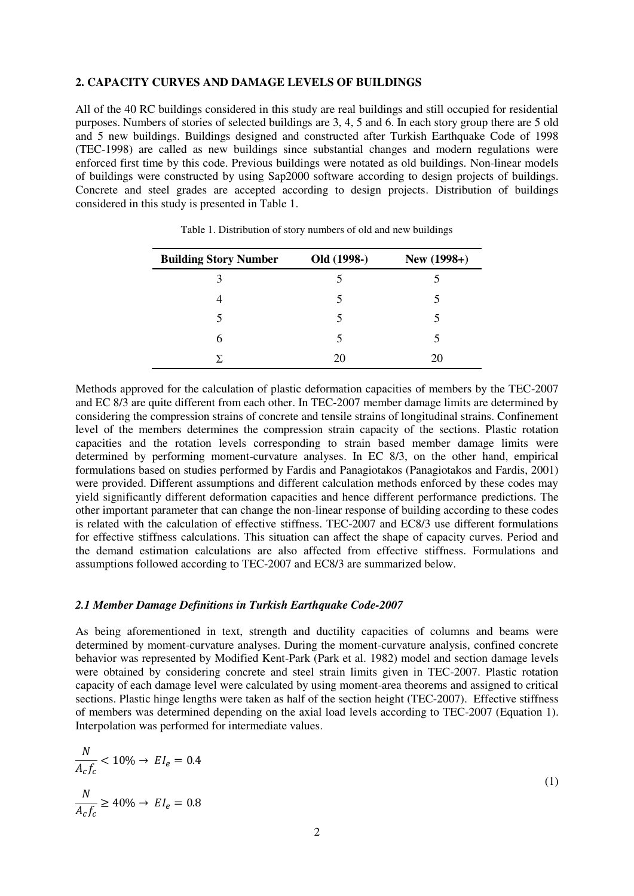## **2. CAPACITY CURVES AND DAMAGE LEVELS OF BUILDINGS**

All of the 40 RC buildings considered in this study are real buildings and still occupied for residential purposes. Numbers of stories of selected buildings are 3, 4, 5 and 6. In each story group there are 5 old and 5 new buildings. Buildings designed and constructed after Turkish Earthquake Code of 1998 (TEC-1998) are called as new buildings since substantial changes and modern regulations were enforced first time by this code. Previous buildings were notated as old buildings. Non-linear models of buildings were constructed by using Sap2000 software according to design projects of buildings. Concrete and steel grades are accepted according to design projects. Distribution of buildings considered in this study is presented in Table 1.

| <b>Building Story Number</b> | Old (1998-) | New (1998+) |
|------------------------------|-------------|-------------|
| κ                            |             |             |
|                              | 5           |             |
|                              | 5           |             |
| 6                            | 5           |             |
|                              | 20          | 20          |

Table 1. Distribution of story numbers of old and new buildings

Methods approved for the calculation of plastic deformation capacities of members by the TEC-2007 and EC 8/3 are quite different from each other. In TEC-2007 member damage limits are determined by considering the compression strains of concrete and tensile strains of longitudinal strains. Confinement level of the members determines the compression strain capacity of the sections. Plastic rotation capacities and the rotation levels corresponding to strain based member damage limits were determined by performing moment-curvature analyses. In EC 8/3, on the other hand, empirical formulations based on studies performed by Fardis and Panagiotakos (Panagiotakos and Fardis, 2001) were provided. Different assumptions and different calculation methods enforced by these codes may yield significantly different deformation capacities and hence different performance predictions. The other important parameter that can change the non-linear response of building according to these codes is related with the calculation of effective stiffness. TEC-2007 and EC8/3 use different formulations for effective stiffness calculations. This situation can affect the shape of capacity curves. Period and the demand estimation calculations are also affected from effective stiffness. Formulations and assumptions followed according to TEC-2007 and EC8/3 are summarized below.

## *2.1 Member Damage Definitions in Turkish Earthquake Code-2007*

As being aforementioned in text, strength and ductility capacities of columns and beams were determined by moment-curvature analyses. During the moment-curvature analysis, confined concrete behavior was represented by Modified Kent-Park (Park et al. 1982) model and section damage levels were obtained by considering concrete and steel strain limits given in TEC-2007. Plastic rotation capacity of each damage level were calculated by using moment-area theorems and assigned to critical sections. Plastic hinge lengths were taken as half of the section height (TEC-2007). Effective stiffness of members was determined depending on the axial load levels according to TEC-2007 (Equation 1). Interpolation was performed for intermediate values.

$$
\frac{N}{A_c f_c} < 10\% \to EI_e = 0.4
$$
\n
$$
\frac{N}{A_c f_c} \ge 40\% \to EI_e = 0.8
$$
\n
$$
(1)
$$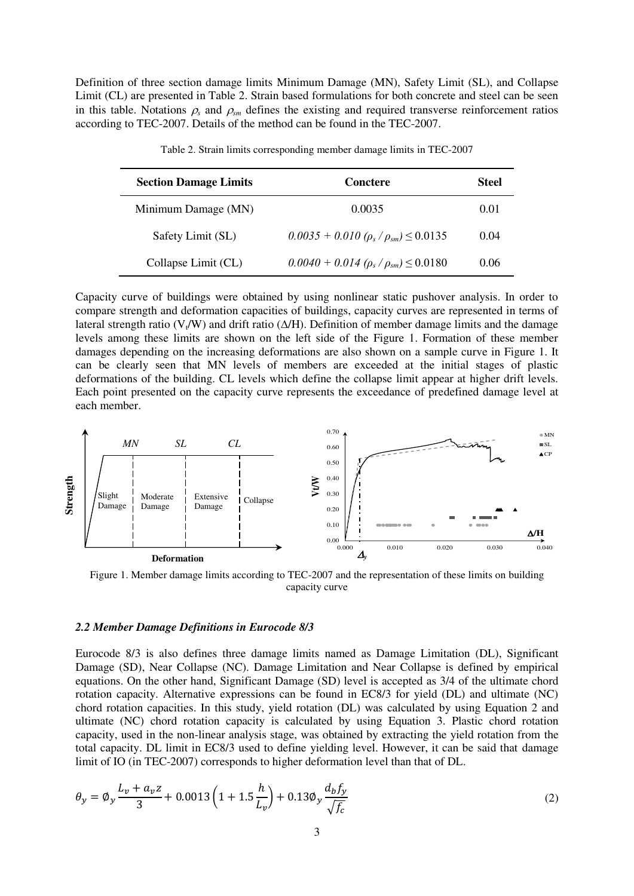Definition of three section damage limits Minimum Damage (MN), Safety Limit (SL), and Collapse Limit (CL) are presented in Table 2. Strain based formulations for both concrete and steel can be seen in this table. Notations  $\rho_s$  and  $\rho_{sm}$  defines the existing and required transverse reinforcement ratios according to TEC-2007. Details of the method can be found in the TEC-2007.

| <b>Section Damage Limits</b> | Conctere                                       | Steel |
|------------------------------|------------------------------------------------|-------|
| Minimum Damage (MN)          | 0.0035                                         | 0.01  |
| Safety Limit (SL)            | $0.0035 + 0.010 (\rho_s/\rho_{sm}) \le 0.0135$ | 0.04  |
| Collapse Limit (CL)          | $0.0040 + 0.014~(\rho_s/\rho_{sm}) \le 0.0180$ | 0.06  |

Table 2. Strain limits corresponding member damage limits in TEC-2007

Capacity curve of buildings were obtained by using nonlinear static pushover analysis. In order to compare strength and deformation capacities of buildings, capacity curves are represented in terms of lateral strength ratio ( $V_t/W$ ) and drift ratio ( $\Delta/H$ ). Definition of member damage limits and the damage levels among these limits are shown on the left side of the Figure 1. Formation of these member damages depending on the increasing deformations are also shown on a sample curve in Figure 1. It can be clearly seen that MN levels of members are exceeded at the initial stages of plastic deformations of the building. CL levels which define the collapse limit appear at higher drift levels. Each point presented on the capacity curve represents the exceedance of predefined damage level at each member.



Figure 1. Member damage limits according to TEC-2007 and the representation of these limits on building capacity curve

#### *2.2 Member Damage Definitions in Eurocode 8/3*

Eurocode 8/3 is also defines three damage limits named as Damage Limitation (DL), Significant Damage (SD), Near Collapse (NC). Damage Limitation and Near Collapse is defined by empirical equations. On the other hand, Significant Damage (SD) level is accepted as 3/4 of the ultimate chord rotation capacity. Alternative expressions can be found in EC8/3 for yield (DL) and ultimate (NC) chord rotation capacities. In this study, yield rotation (DL) was calculated by using Equation 2 and ultimate (NC) chord rotation capacity is calculated by using Equation 3. Plastic chord rotation capacity, used in the non-linear analysis stage, was obtained by extracting the yield rotation from the total capacity. DL limit in EC8/3 used to define yielding level. However, it can be said that damage limit of IO (in TEC-2007) corresponds to higher deformation level than that of DL.

$$
\theta_{y} = \phi_{y} \frac{L_{v} + a_{v}z}{3} + 0.0013 \left( 1 + 1.5 \frac{h}{L_{v}} \right) + 0.13 \phi_{y} \frac{d_{b}f_{y}}{\sqrt{f_{c}}}
$$
(2)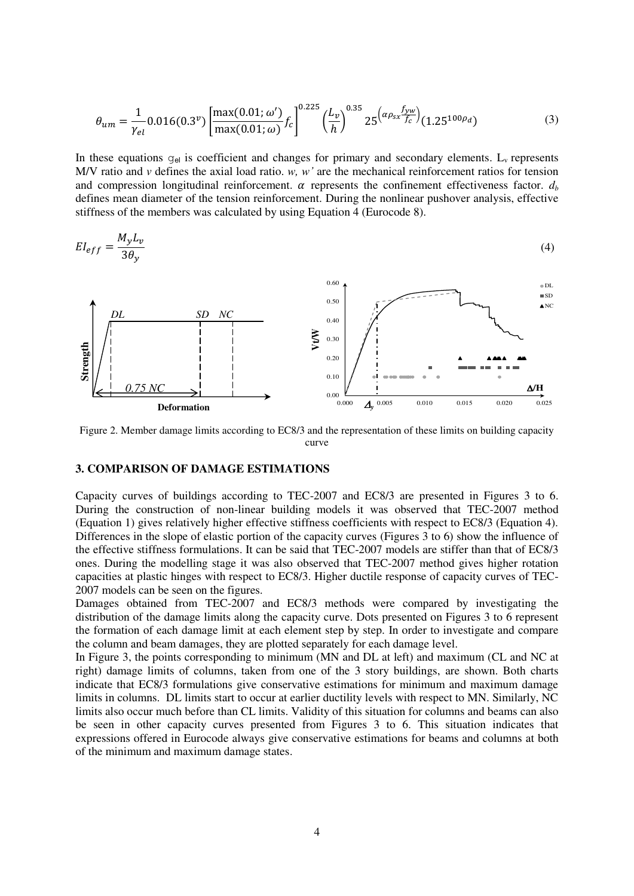$$
\theta_{um} = \frac{1}{\gamma_{el}} 0.016(0.3^{\nu}) \left[ \frac{\max(0.01; \omega')}{\max(0.01; \omega)} f_c \right]^{0.225} \left( \frac{L_{\nu}}{h} \right)^{0.35} 25 \left( \frac{\alpha \rho_{sx} f_{yw}}{f_c} \right) (1.25^{100\rho_d}) \tag{3}
$$

In these equations  $g_{el}$  is coefficient and changes for primary and secondary elements.  $L_v$  represents M/V ratio and *v* defines the axial load ratio. *w, w'* are the mechanical reinforcement ratios for tension and compression longitudinal reinforcement.  $\alpha$  represents the confinement effectiveness factor.  $d_b$ defines mean diameter of the tension reinforcement. During the nonlinear pushover analysis, effective stiffness of the members was calculated by using Equation 4 (Eurocode 8).

$$
EI_{eff} = \frac{M_y L_v}{3\theta_y} \tag{4}
$$



Figure 2. Member damage limits according to EC8/3 and the representation of these limits on building capacity curve

#### **3. COMPARISON OF DAMAGE ESTIMATIONS**

Capacity curves of buildings according to TEC-2007 and EC8/3 are presented in Figures 3 to 6. During the construction of non-linear building models it was observed that TEC-2007 method (Equation 1) gives relatively higher effective stiffness coefficients with respect to EC8/3 (Equation 4). Differences in the slope of elastic portion of the capacity curves (Figures 3 to 6) show the influence of the effective stiffness formulations. It can be said that TEC-2007 models are stiffer than that of EC8/3 ones. During the modelling stage it was also observed that TEC-2007 method gives higher rotation capacities at plastic hinges with respect to EC8/3. Higher ductile response of capacity curves of TEC-2007 models can be seen on the figures.

Damages obtained from TEC-2007 and EC8/3 methods were compared by investigating the distribution of the damage limits along the capacity curve. Dots presented on Figures 3 to 6 represent the formation of each damage limit at each element step by step. In order to investigate and compare the column and beam damages, they are plotted separately for each damage level.

In Figure 3, the points corresponding to minimum (MN and DL at left) and maximum (CL and NC at right) damage limits of columns, taken from one of the 3 story buildings, are shown. Both charts indicate that EC8/3 formulations give conservative estimations for minimum and maximum damage limits in columns. DL limits start to occur at earlier ductility levels with respect to MN. Similarly, NC limits also occur much before than CL limits. Validity of this situation for columns and beams can also be seen in other capacity curves presented from Figures 3 to 6. This situation indicates that expressions offered in Eurocode always give conservative estimations for beams and columns at both of the minimum and maximum damage states.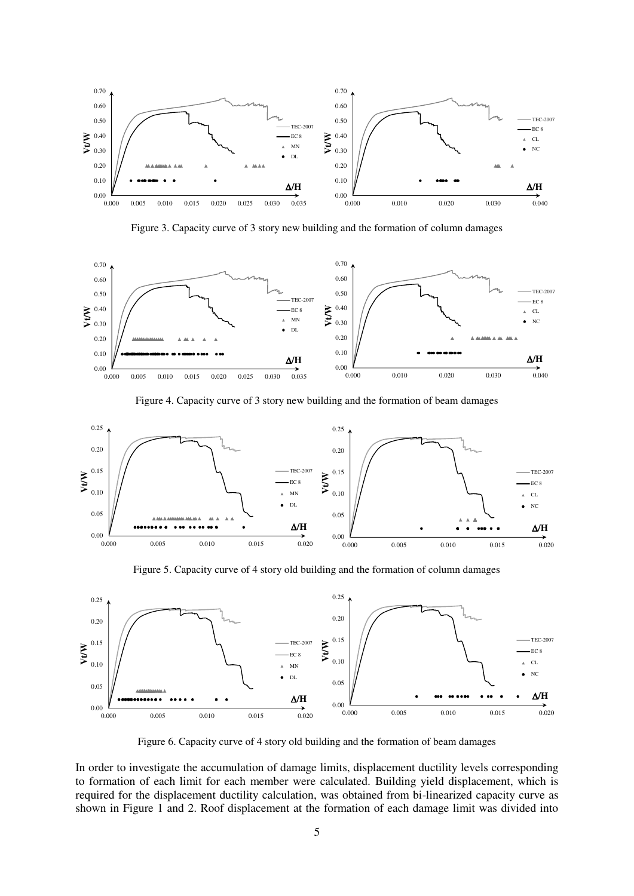

Figure 3. Capacity curve of 3 story new building and the formation of column damages



Figure 4. Capacity curve of 3 story new building and the formation of beam damages



Figure 5. Capacity curve of 4 story old building and the formation of column damages



Figure 6. Capacity curve of 4 story old building and the formation of beam damages

In order to investigate the accumulation of damage limits, displacement ductility levels corresponding to formation of each limit for each member were calculated. Building yield displacement, which is required for the displacement ductility calculation, was obtained from bi-linearized capacity curve as shown in Figure 1 and 2. Roof displacement at the formation of each damage limit was divided into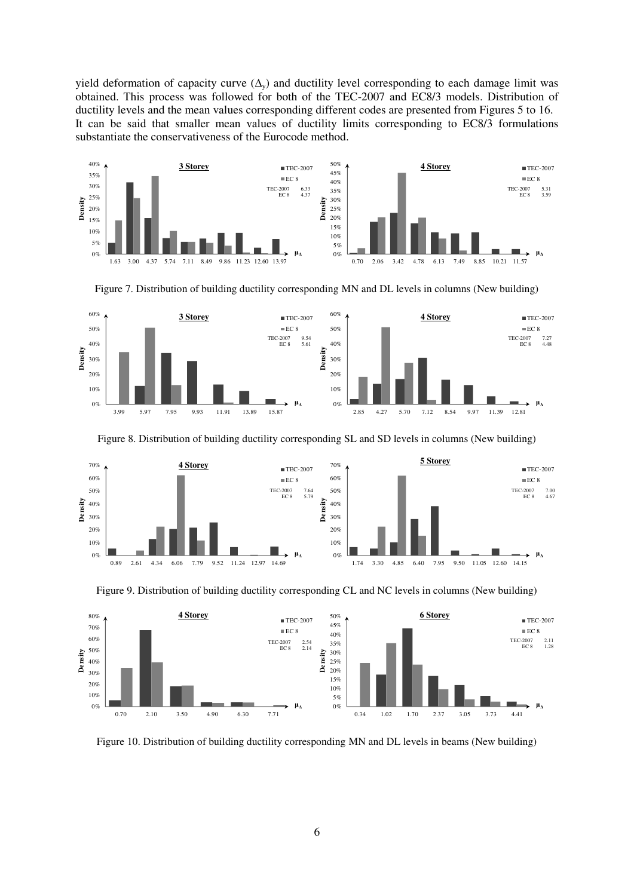yield deformation of capacity curve  $(\Delta_{v})$  and ductility level corresponding to each damage limit was obtained. This process was followed for both of the TEC-2007 and EC8/3 models. Distribution of ductility levels and the mean values corresponding different codes are presented from Figures 5 to 16. It can be said that smaller mean values of ductility limits corresponding to EC8/3 formulations substantiate the conservativeness of the Eurocode method.







Figure 8. Distribution of building ductility corresponding SL and SD levels in columns (New building)



Figure 9. Distribution of building ductility corresponding CL and NC levels in columns (New building)



Figure 10. Distribution of building ductility corresponding MN and DL levels in beams (New building)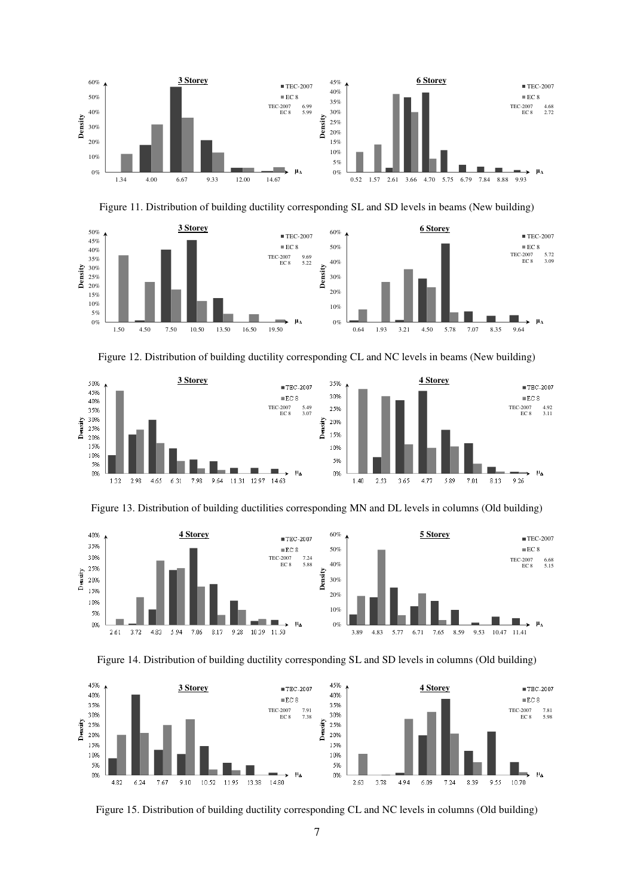





Figure 12. Distribution of building ductility corresponding CL and NC levels in beams (New building)



Figure 13. Distribution of building ductilities corresponding MN and DL levels in columns (Old building)







Figure 15. Distribution of building ductility corresponding CL and NC levels in columns (Old building)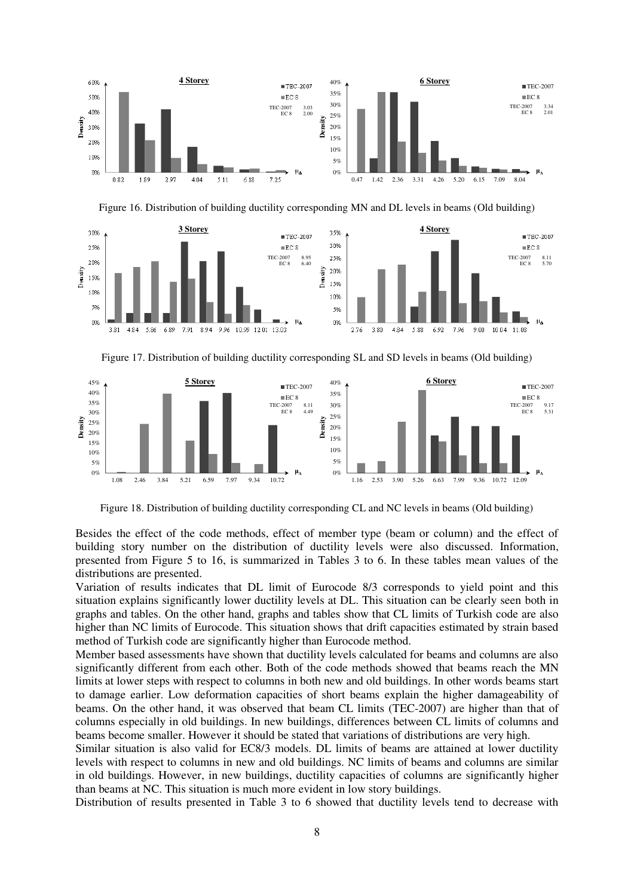





Figure 17. Distribution of building ductility corresponding SL and SD levels in beams (Old building)



Figure 18. Distribution of building ductility corresponding CL and NC levels in beams (Old building)

Besides the effect of the code methods, effect of member type (beam or column) and the effect of building story number on the distribution of ductility levels were also discussed. Information, presented from Figure 5 to 16, is summarized in Tables 3 to 6. In these tables mean values of the distributions are presented.

Variation of results indicates that DL limit of Eurocode 8/3 corresponds to yield point and this situation explains significantly lower ductility levels at DL. This situation can be clearly seen both in graphs and tables. On the other hand, graphs and tables show that CL limits of Turkish code are also higher than NC limits of Eurocode. This situation shows that drift capacities estimated by strain based method of Turkish code are significantly higher than Eurocode method.

Member based assessments have shown that ductility levels calculated for beams and columns are also significantly different from each other. Both of the code methods showed that beams reach the MN limits at lower steps with respect to columns in both new and old buildings. In other words beams start to damage earlier. Low deformation capacities of short beams explain the higher damageability of beams. On the other hand, it was observed that beam CL limits (TEC-2007) are higher than that of columns especially in old buildings. In new buildings, differences between CL limits of columns and beams become smaller. However it should be stated that variations of distributions are very high.

Similar situation is also valid for EC8/3 models. DL limits of beams are attained at lower ductility levels with respect to columns in new and old buildings. NC limits of beams and columns are similar in old buildings. However, in new buildings, ductility capacities of columns are significantly higher than beams at NC. This situation is much more evident in low story buildings.

Distribution of results presented in Table 3 to 6 showed that ductility levels tend to decrease with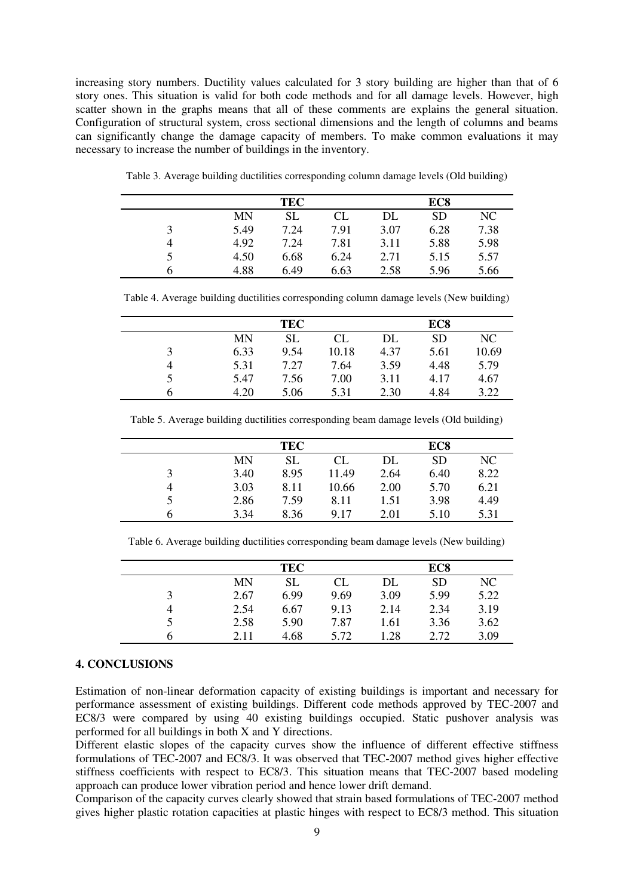increasing story numbers. Ductility values calculated for 3 story building are higher than that of 6 story ones. This situation is valid for both code methods and for all damage levels. However, high scatter shown in the graphs means that all of these comments are explains the general situation. Configuration of structural system, cross sectional dimensions and the length of columns and beams can significantly change the damage capacity of members. To make common evaluations it may necessary to increase the number of buildings in the inventory.

| TEC  |           |      | EC <sub>8</sub> |           |      |
|------|-----------|------|-----------------|-----------|------|
| MN   | <b>SL</b> | CL   | DL              | <b>SD</b> | NC.  |
| 5.49 | 7.24      | 7.91 | 3.07            | 6.28      | 7.38 |
| 4.92 | 7.24      | 7.81 | 3.11            | 5.88      | 5.98 |
| 4.50 | 6.68      | 6.24 | 2.71            | 5.15      | 5.57 |
| 4.88 | 6.49      | 6.63 | 2.58            | 5.96      | 5.66 |

Table 3. Average building ductilities corresponding column damage levels (Old building)

Table 4. Average building ductilities corresponding column damage levels (New building)

|      | <b>TEC</b> |       |      | EC <sub>8</sub> |       |
|------|------------|-------|------|-----------------|-------|
| MN   | SL         | CL    | DL   | <b>SD</b>       | NC    |
| 6.33 | 9.54       | 10.18 | 4.37 | 5.61            | 10.69 |
| 5.31 | 7.27       | 7.64  | 3.59 | 4.48            | 5.79  |
| 5.47 | 7.56       | 7.00  | 3.11 | 4.17            | 4.67  |
| 4.20 | 5.06       | 5.31  | 2.30 | 4.84            | 3.22  |

Table 5. Average building ductilities corresponding beam damage levels (Old building)

|   | <b>TEC</b> |           |       | EC <sub>8</sub> |           |      |
|---|------------|-----------|-------|-----------------|-----------|------|
|   | <b>MN</b>  | <b>SL</b> | CL    | DL              | <b>SD</b> | NC   |
|   | 3.40       | 8.95      | 11.49 | 2.64            | 6.40      | 8.22 |
| 4 | 3.03       | 8.11      | 10.66 | 2.00            | 5.70      | 6.21 |
|   | 2.86       | 7.59      | 8.11  | 1.51            | 3.98      | 4.49 |
| h | 3.34       | 8.36      | 9.17  | 2.01            | 5.10      | 5.31 |

Table 6. Average building ductilities corresponding beam damage levels (New building)

| <b>TEC</b> |           |      | EC <sub>8</sub> |           |      |
|------------|-----------|------|-----------------|-----------|------|
| MN         | <b>SL</b> | CL   | DL              | <b>SD</b> | NC   |
| 2.67       | 6.99      | 9.69 | 3.09            | 5.99      | 5.22 |
| 2.54       | 6.67      | 9.13 | 2.14            | 2.34      | 3.19 |
| 2.58       | 5.90      | 7.87 | 1.61            | 3.36      | 3.62 |
| 2.11       | 4.68      | 5.72 | 1.28            | 2.72      | 3.09 |

### **4. CONCLUSIONS**

Estimation of non-linear deformation capacity of existing buildings is important and necessary for performance assessment of existing buildings. Different code methods approved by TEC-2007 and EC8/3 were compared by using 40 existing buildings occupied. Static pushover analysis was performed for all buildings in both X and Y directions.

Different elastic slopes of the capacity curves show the influence of different effective stiffness formulations of TEC-2007 and EC8/3. It was observed that TEC-2007 method gives higher effective stiffness coefficients with respect to EC8/3. This situation means that TEC-2007 based modeling approach can produce lower vibration period and hence lower drift demand.

Comparison of the capacity curves clearly showed that strain based formulations of TEC-2007 method gives higher plastic rotation capacities at plastic hinges with respect to EC8/3 method. This situation